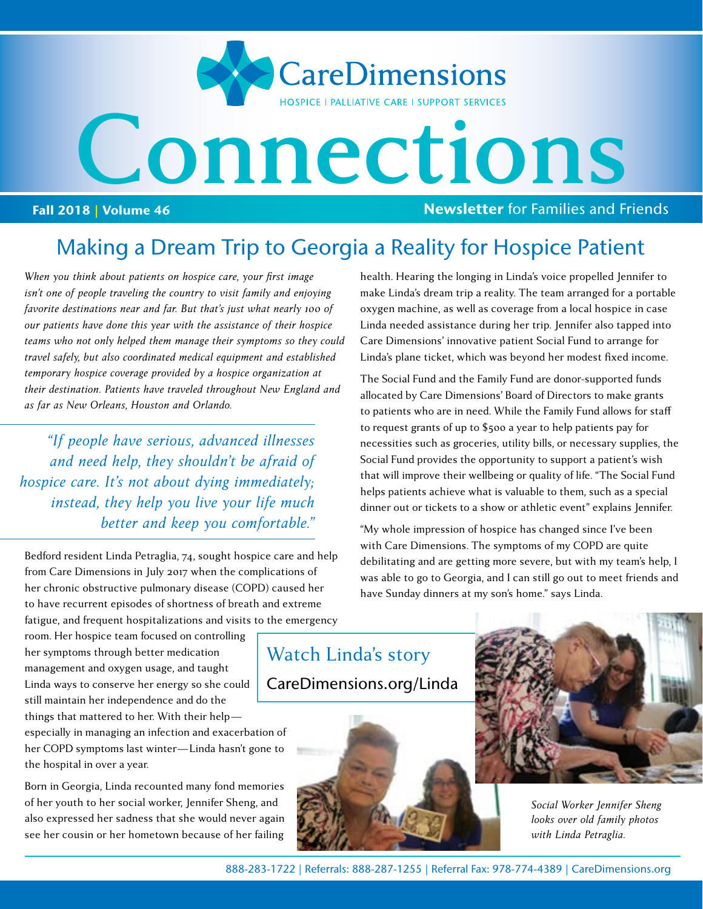

## Making a Dream Trip to Georgia a Reality for Hospice Patient

*When you think about patients on hospice care, your first image isn't one of people traveling the country to visit family and enjoying favorite destinations near and far. But that's just what nearly 100 of our patients have done this year with the assistance of their hospice teams who not only helped them manage their symptoms so they could travel safely, but also coordinated medical equipment and established temporary hospice coverage provided by a hospice organization at their destination. Patients have traveled throughout New England and as far as New Orleans, Houston and Orlando.*

*"If people have serious, advanced illnesses and need help, they shouldn't be afraid of hospice care. It's not about dying immediately; instead, they help you live your life much better and keep you comfortable."*

Bedford resident Linda Petraglia, 74, sought hospice care and help from Care Dimensions in July 2017 when the complications of her chronic obstructive pulmonary disease (COPD) caused her to have recurrent episodes of shortness of breath and extreme fatigue, and frequent hospitalizations and visits to the emergency health. Hearing the longing in Linda's voice propelled Jennifer to make Linda's dream trip a reality. The team arranged for a portable oxygen machine, as well as coverage from a local hospice in case Linda needed assistance during her trip. Jennifer also tapped into Care Dimensions' innovative patient Social Fund to arrange for Linda's plane ticket, which was beyond her modest fixed income.

The Social Fund and the Family Fund are donor-supported funds allocated by Care Dimensions' Board of Directors to make grants to patients who are in need. While the Family Fund allows for staff to request grants of up to \$500 a year to help patients pay for necessities such as groceries, utility bills, or necessary supplies, the Social Fund provides the opportunity to support a patient's wish that will improve their wellbeing or quality of life. "The Social Fund helps patients achieve what is valuable to them, such as a special dinner out or tickets to a show or athletic event" explains Jennifer.

"My whole impression of hospice has changed since I've been with Care Dimensions. The symptoms of my COPD are quite debilitating and are getting more severe, but with my team's help, I was able to go to Georgia, and I can still go out to meet friends and have Sunday dinners at my son's home." says Linda.

room. Her hospice team focused on controlling her symptoms through better medication management and oxygen usage, and taught Linda ways to conserve her energy so she could still maintain her independence and do the things that mattered to her. With their help—

especially in managing an infection and exacerbation of her COPD symptoms last winter—Linda hasn't gone to the hospital in over a year.

Born in Georgia, Linda recounted many fond memories of her youth to her social worker, Jennifer Sheng, and also expressed her sadness that she would never again see her cousin or her hometown because of her failing

[Watch Linda's story](https://www.youtube.com/watch?v=uGbc5Zsr6MI)  CareDimensions.org/Linda





*Social Worker Jennifer Sheng looks over old family photos with Linda Petraglia.*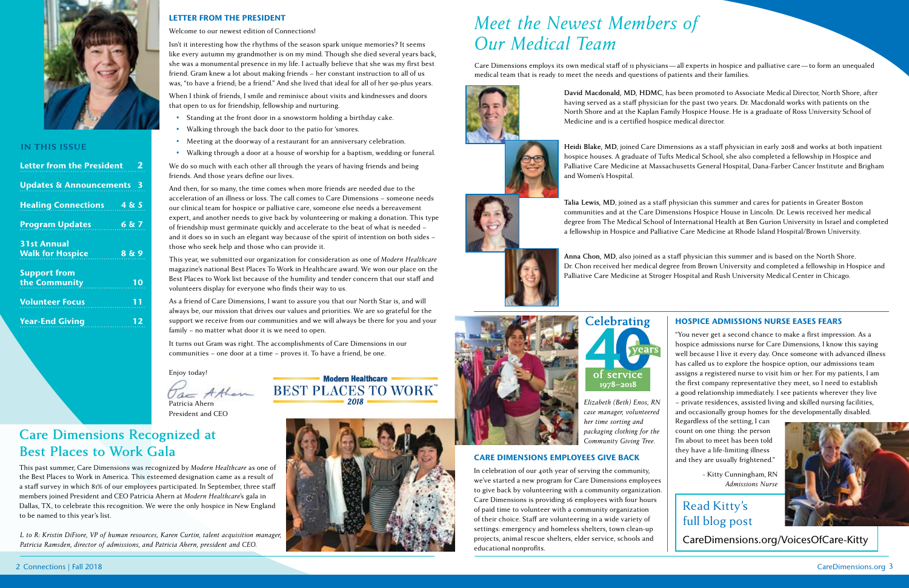2 Connections | Fall 2018 CareDimensions.org 3

**Modern Healthcare** Particia Ahern BEST PLACES TO WORK 2018



### **In This Issue**

| <b>Letter from the President</b><br>- 2                |
|--------------------------------------------------------|
| <b>Updates &amp; Announcements 3</b>                   |
| <b>Healing Connections</b><br>485                      |
| <b>Program Updates</b><br>6 & 7                        |
| <b>31st Annual</b><br>8 & 9<br><b>Walk for Hospice</b> |
| <b>Support from</b><br>the Community<br>10             |
| <b>Volunteer Focus</b><br>11                           |
| 12<br><b>Year-End Giving</b>                           |

Care Dimensions employs its own medical staff of 11 physicians—all experts in hospice and palliative care—to form an unequaled medical team that is ready to meet the needs and questions of patients and their families.



# *Meet the Newest Members of Our Medical Team*

## **Care Dimensions Recognized at Best Places to Work Gala**

This past summer, Care Dimensions was recognized by *Modern Healthcare* as one of the Best Places to Work in America. This esteemed designation came as a result of a staff survey in which 81% of our employees participated. In September, three staff members joined President and CEO Patricia Ahern at *Modern Healthcare*'s gala in Dallas, TX, to celebrate this recognition. We were the only hospice in New England to be named to this year's list.

Isn't it interesting how the rhythms of the season spark unique memories? It seems like every autumn my grandmother is on my mind. Though she died several years back, she was a monumental presence in my life. I actually believe that she was my first best friend. Gram knew a lot about making friends – her constant instruction to all of us was, "to have a friend; be a friend." And she lived that ideal for all of her 90-plus years.

> **David Macdonald, MD, HDMC**, has been promoted to Associate Medical Director, North Shore, after having served as a staff physician for the past two years. Dr. Macdonald works with patients on the North Shore and at the Kaplan Family Hospice House. He is a graduate of Ross University School of Medicine and is a certified hospice medical director.

### HOSPICE ADMISSIONS NURSE EASES FEARS

"You never get a second chance to make a first impression. As a hospice admissions nurse for Care Dimensions, I know this saying well because I live it every day. Once someone with advanced illness has called us to explore the hospice option, our admissions team assigns a registered nurse to visit him or her. For my patients, I am the first company representative they meet, so I need to establish a good relationship immediately. I see patients wherever they live – private residences, assisted living and skilled nursing facilities, and occasionally group homes for the developmentally disabled.

Regardless of the setting, I can count on one thing: the person I'm about to meet has been told they have a life-limiting illness and they are usually frightened."

> ~ Kitty Cunningham, RN *Admissions Nurse*

### LETTER FROM THE PRESIDENT

### Welcome to our newest edition of Connections!

When I think of friends, I smile and reminisce about visits and kindnesses and doors that open to us for friendship, fellowship and nurturing.

- Standing at the front door in a snowstorm holding a birthday cake.
- Walking through the back door to the patio for 'smores.
- Meeting at the doorway of a restaurant for an anniversary celebration.
- Walking through a door at a house of worship for a baptism, wedding or funeral.

We do so much with each other all through the years of having friends and being friends. And those years define our lives.

And then, for so many, the time comes when more friends are needed due to the acceleration of an illness or loss. The call comes to Care Dimensions – someone needs our clinical team for hospice or palliative care, someone else needs a bereavement expert, and another needs to give back by volunteering or making a donation. This type of friendship must germinate quickly and accelerate to the beat of what is needed – and it does so in such an elegant way because of the spirit of intention on both sides – those who seek help and those who can provide it.

This year, we submitted our organization for consideration as one of *Modern Healthcare* magazine's national Best Places To Work in Healthcare award. We won our place on the Best Places to Work list because of the humility and tender concern that our staff and volunteers display for everyone who finds their way to us.

As a friend of Care Dimensions, I want to assure you that our North Star is, and will always be, our mission that drives our values and priorities. We are so grateful for the support we receive from our communities and we will always be there for you and your family – no matter what door it is we need to open.

It turns out Gram was right. The accomplishments of Care Dimensions in our communities – one door at a time – proves it. To have a friend, be one.

Enjoy today!

President and CEO

*L to R: Kristin DiFiore, VP of human resources, Karen Curtin, talent acquisition manager, Patricia Ramsden, director of admissions, and Patricia Ahern, president and CEO.*



## Read Kitty's full blog post



[CareDimensions.org/VoicesOfCare-Kitty](http://CareDimensions.org/VoicesOfCare-Kitty)

### CARE DIMENSIONS EMPLOYEES GIVE BACK

In celebration of our 40th year of serving the community, we've started a new program for Care Dimensions employees to give back by volunteering with a community organization. Care Dimensions is providing 16 employees with four hours of paid time to volunteer with a community organization of their choice. Staff are volunteering in a wide variety of settings: emergency and homeless shelters, town clean-up projects, animal rescue shelters, elder service, schools and educational nonprofits.

*Elizabeth (Beth) Enos, RN case manager, volunteered her time sorting and packaging clothing for the Community Giving Tree.* 

**Heidi Blake, MD**, joined Care Dimensions as a staff physician in early 2018 and works at both inpatient hospice houses. A graduate of Tufts Medical School, she also completed a fellowship in Hospice and Palliative Care Medicine at Massachusetts General Hospital, Dana-Farber Cancer Institute and Brigham and Women's Hospital.

**Talia Lewis, MD**, joined as a staff physician this summer and cares for patients in Greater Boston communities and at the Care Dimensions Hospice House in Lincoln. Dr. Lewis received her medical degree from The Medical School of International Health at Ben Gurion University in Israel and completed a fellowship in Hospice and Palliative Care Medicine at Rhode Island Hospital/Brown University.

**Anna Chon, MD**, also joined as a staff physician this summer and is based on the North Shore. Dr. Chon received her medical degree from Brown University and completed a fellowship in Hospice and Palliative Care Medicine at Stroger Hospital and Rush University Medical Center in Chicago.



**Celebrating** of service 1978-2018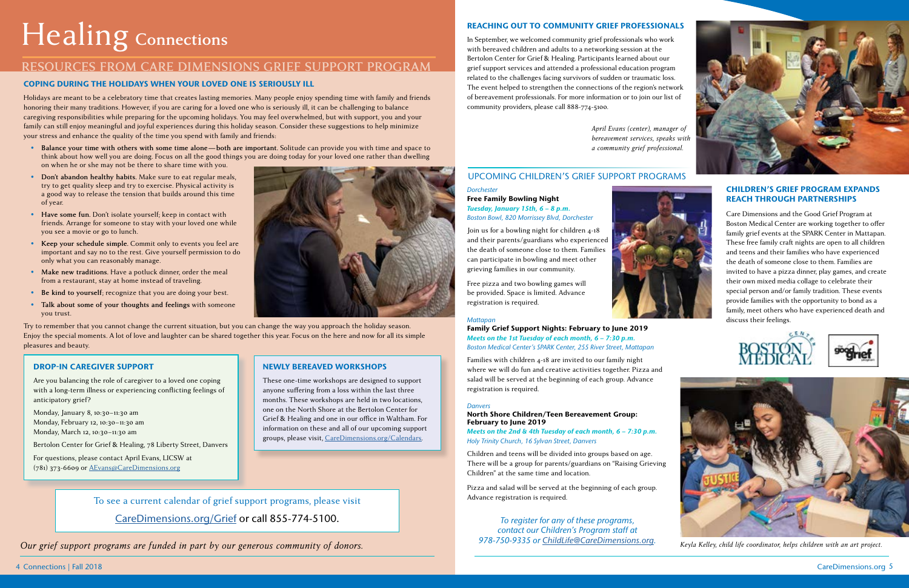### *Dorchester*

Free Family Bowling Night *Tuesday, January 15th, 6 – 8 p.m. Boston Bowl, 820 Morrissey Blvd, Dorchester*

Join us for a bowling night for children 4-18 and their parents/guardians who experienced the death of someone close to them. Families can participate in bowling and meet other grieving families in our community.

Free pizza and two bowling games will be provided. Space is limited. Advance registration is required.



### *Mattapan*

Family Grief Support Nights: February to June 2019 *Meets on the 1st Tuesday of each month, 6 – 7:30 p.m. Boston Medical Center's SPARK Center, 255 River Street, Mattapan*

Families with children 4-18 are invited to our family night where we will do fun and creative activities together. Pizza and salad will be served at the beginning of each group. Advance registration is required.

### *Danvers*

### North Shore Children/Teen Bereavement Group: February to June 2019

*Meets on the 2nd & 4th Tuesday of each month, 6 – 7:30 p.m. Holy Trinity Church, 16 Sylvan Street, Danvers* 

Children and teens will be divided into groups based on age. There will be a group for parents/guardians on "Raising Grieving Children" at the same time and location.

Pizza and salad will be served at the beginning of each group. Advance registration is required.

### UPCOMING CHILDREN'S GRIEF SUPPORT PROGRAMS

*To register for any of these programs, contact our Children's Program staff at 978-750-9335 or [ChildLife@CareDimensions.org.](mailto:ChildLife@CareDimensions.org)*

### REACHING OUT TO COMMUNITY GRIEF PROFESSIONALS

In September, we welcomed community grief professionals who work with bereaved children and adults to a networking session at the Bertolon Center for Grief & Healing. Participants learned about our grief support services and attended a professional education program related to the challenges facing survivors of sudden or traumatic loss. The event helped to strengthen the connections of the region's network of bereavement professionals. For more information or to join our list of community providers, please call 888-774-5100.

### CHILDREN'S GRIEF PROGRAM EXPANDS REACH THROUGH PARTNERSHIPS

*April Evans (center), manager of bereavement services, speaks with a community grief professional.*

# Healing **Connections**

### **RESOURCES FROM CARE DIMENSIONS GRIEF SUPPORT PROGRAM**

### COPING DURING THE HOLIDAYS WHEN YOUR LOVED ONE IS SERIOUSLY ILL

Holidays are meant to be a celebratory time that creates lasting memories. Many people enjoy spending time with family and friends honoring their many traditions. However, if you are caring for a loved one who is seriously ill, it can be challenging to balance caregiving responsibilities while preparing for the upcoming holidays. You may feel overwhelmed, but with support, you and your family can still enjoy meaningful and joyful experiences during this holiday season. Consider these suggestions to help minimize your stress and enhance the quality of the time you spend with family and friends:

- **• Balance your time with others with some time alone—both are important.** Solitude can provide you with time and space to think about how well you are doing. Focus on all the good things you are doing today for your loved one rather than dwelling on when he or she may not be there to share time with you.
- **• Don't abandon healthy habits.** Make sure to eat regular meals, try to get quality sleep and try to exercise. Physical activity is a good way to release the tension that builds around this time of year.
- **• Have some fun.** Don't isolate yourself; keep in contact with friends. Arrange for someone to stay with your loved one while you see a movie or go to lunch.
- **• Keep your schedule simple.** Commit only to events you feel are important and say no to the rest. Give yourself permission to do only what you can reasonably manage.
- **• Make new traditions.** Have a potluck dinner, order the meal from a restaurant, stay at home instead of traveling.
- **• Be kind to yourself**; recognize that you are doing your best.
- **• Talk about some of your thoughts and feelings** with someone you trust.

Try to remember that you cannot change the current situation, but you can change the way you approach the holiday season. Enjoy the special moments. A lot of love and laughter can be shared together this year. Focus on the here and now for all its simple pleasures and beauty.

*Our grief support programs are funded in part by our generous community of donors.* 

To see a current calendar of grief support programs, please visit [CareDimensions.org/Grief](http://CareDimensions.org/Grief) or call 855-774-5100.



*Keyla Kelley, child life coordinator, helps children with an art project.*

Care Dimensions and the Good Grief Program at Boston Medical Center are working together to offer family grief events at the SPARK Center in Mattapan. These free family craft nights are open to all children and teens and their families who have experienced the death of someone close to them. Families are invited to have a pizza dinner, play games, and create their own mixed media collage to celebrate their special person and/or family tradition. These events provide families with the opportunity to bond as a family, meet others who have experienced death and discuss their feelings.





### NEWLY BEREAVED WORKSHOPS

These one-time workshops are designed to support anyone suffering from a loss within the last three months. These workshops are held in two locations, one on the North Shore at the Bertolon Center for Grief & Healing and one in our office in Waltham. For information on these and all of our upcoming support groups, please visit, [CareDimensions.org/Calendars.](http://CareDimensions.org/Calendars)

### DROP-IN CAREGIVER SUPPORT

Are you balancing the role of caregiver to a loved one coping with a long-term illness or experiencing conflicting feelings of anticipatory grief?

Monday, January 8, 10:30–11:30 am Monday, February 12, 10:30–11:30 am Monday, March 12, 10:30–11:30 am

Bertolon Center for Grief & Healing, 78 Liberty Street, Danvers

For questions, please contact April Evans, LICSW at (781) 373-6609 or [AEvans@CareDimensions.org](mailto:AEvans@CareDimensions.org)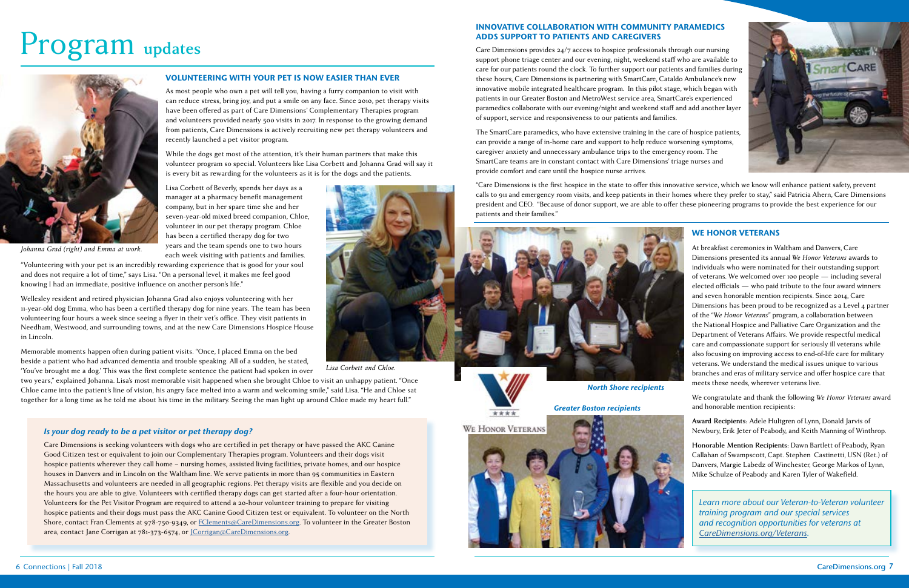

# Program **updates**

### VOLUNTEERING WITH YOUR PET IS NOW EASIER THAN EVER

As most people who own a pet will tell you, having a furry companion to visit with can reduce stress, bring joy, and put a smile on any face. Since 2010, pet therapy visits have been offered as part of Care Dimensions' Complementary Therapies program and volunteers provided nearly 500 visits in 2017. In response to the growing demand from patients, Care Dimensions is actively recruiting new pet therapy volunteers and recently launched a pet visitor program.

While the dogs get most of the attention, it's their human partners that make this volunteer program so special. Volunteers like Lisa Corbett and Johanna Grad will say it is every bit as rewarding for the volunteers as it is for the dogs and the patients.

Lisa Corbett of Beverly, spends her days as a manager at a pharmacy benefit management company, but in her spare time she and her seven-year-old mixed breed companion, Chloe, volunteer in our pet therapy program. Chloe has been a certified therapy dog for two years and the team spends one to two hours each week visiting with patients and families.

"Volunteering with your pet is an incredibly rewarding experience that is good for your soul and does not require a lot of time," says Lisa. "On a personal level, it makes me feel good knowing I had an immediate, positive influence on another person's life."

Wellesley resident and retired physician Johanna Grad also enjoys volunteering with her 11-year-old dog Emma, who has been a certified therapy dog for nine years. The team has been volunteering four hours a week since seeing a flyer in their vet's office. They visit patients in Needham, Westwood, and surrounding towns, and at the new Care Dimensions Hospice House in Lincoln.

Memorable moments happen often during patient visits. "Once, I placed Emma on the bed beside a patient who had advanced dementia and trouble speaking. All of a sudden, he stated, 'You've brought me a dog.' This was the first complete sentence the patient had spoken in over

two years," explained Johanna. Lisa's most memorable visit happened when she brought Chloe to visit an unhappy patient. "Once Chloe came into the patient's line of vision, his angry face melted into a warm and welcoming smile," said Lisa. "He and Chloe sat together for a long time as he told me about his time in the military. Seeing the man light up around Chloe made my heart full."

### *Is your dog ready to be a pet visitor or pet therapy dog?*

Care Dimensions is seeking volunteers with dogs who are certified in pet therapy or have passed the AKC Canine Good Citizen test or equivalent to join our Complementary Therapies program. Volunteers and their dogs visit hospice patients wherever they call home – nursing homes, assisted living facilities, private homes, and our hospice houses in Danvers and in Lincoln on the Waltham line. We serve patients in more than 95 communities in Eastern Massachusetts and volunteers are needed in all geographic regions. Pet therapy visits are flexible and you decide on the hours you are able to give. Volunteers with certified therapy dogs can get started after a four-hour orientation. Volunteers for the Pet Visitor Program are required to attend a 20-hour volunteer training to prepare for visiting hospice patients and their dogs must pass the AKC Canine Good Citizen test or equivalent. To volunteer on the North Shore, contact Fran Clements at 978-750-9349, or [FClements@CareDimensions.org](mailto:FClements@CareDimensions.org). To volunteer in the Greater Boston area, contact Jane Corrigan at 781-373-6574, or [JCorrigan@CareDimensions.org](mailto:JCorrigan@CareDimensions.org).

### INNOVATIVE COLLABORATION WITH COMMUNITY PARAMEDICS ADDS SUPPORT TO PATIENTS AND CAREGIVERS

Care Dimensions provides 24/7 access to hospice professionals through our nursing support phone triage center and our evening, night, weekend staff who are available to care for our patients round the clock. To further support our patients and families during these hours, Care Dimensions is partnering with SmartCare, Cataldo Ambulance's new innovative mobile integrated healthcare program. In this pilot stage, which began with patients in our Greater Boston and MetroWest service area, SmartCare's experienced paramedics collaborate with our evening/night and weekend staff and add another layer of support, service and responsiveness to our patients and families.

The SmartCare paramedics, who have extensive training in the care of hospice patients, can provide a range of in-home care and support to help reduce worsening symptoms, caregiver anxiety and unnecessary ambulance trips to the emergency room. The SmartCare teams are in constant contact with Care Dimensions' triage nurses and provide comfort and care until the hospice nurse arrives.

"Care Dimensions is the first hospice in the state to offer this innovative service, which we know will enhance patient safety, prevent calls to 911 and emergency room visits, and keep patients in their homes where they prefer to stay," said Patricia Ahern, Care Dimensions president and CEO. "Because of donor support, we are able to offer these pioneering programs to provide the best experience for our patients and their families."

### WE HONOR VETERANS

At breakfast ceremonies in Waltham and Danvers, Care Dimensions presented its annual *We Honor Veterans* awards to individuals who were nominated for their outstanding support of veterans. We welcomed over 100 people — including several elected officials — who paid tribute to the four award winners and seven honorable mention recipients. Since 2014, Care Dimensions has been proud to be recognized as a Level 4 partner of the "*We Honor Veterans*" program, a collaboration between the National Hospice and Palliative Care Organization and the Department of Veterans Affairs. We provide respectful medical care and compassionate support for seriously ill veterans while also focusing on improving access to end-of-life care for military veterans. We understand the medical issues unique to various branches and eras of military service and offer hospice care that meets these needs, wherever veterans live.

We congratulate and thank the following *We Honor Veterans* award and honorable mention recipients:

**Award Recipients:** Adele Hultgren of Lynn, Donald Jarvis of Newbury, Erik Jeter of Peabody, and Keith Manning of Winthrop.

**Honorable Mention Recipients:** Dawn Bartlett of Peabody, Ryan Callahan of Swampscott, Capt. Stephen Castinetti, USN (Ret.) of Danvers, Margie Labedz of Winchester, George Markos of Lynn, Mike Schulze of Peabody and Karen Tyler of Wakefield.

*Learn more about our Veteran-to-Veteran volunteer training program and our special services and recognition opportunities for veterans at [CareDimensions.org/Veterans.](http://CareDimensions.org/Veterans)*



*Johanna Grad (right) and Emma at work.*



*Lisa Corbett and Chloe.*



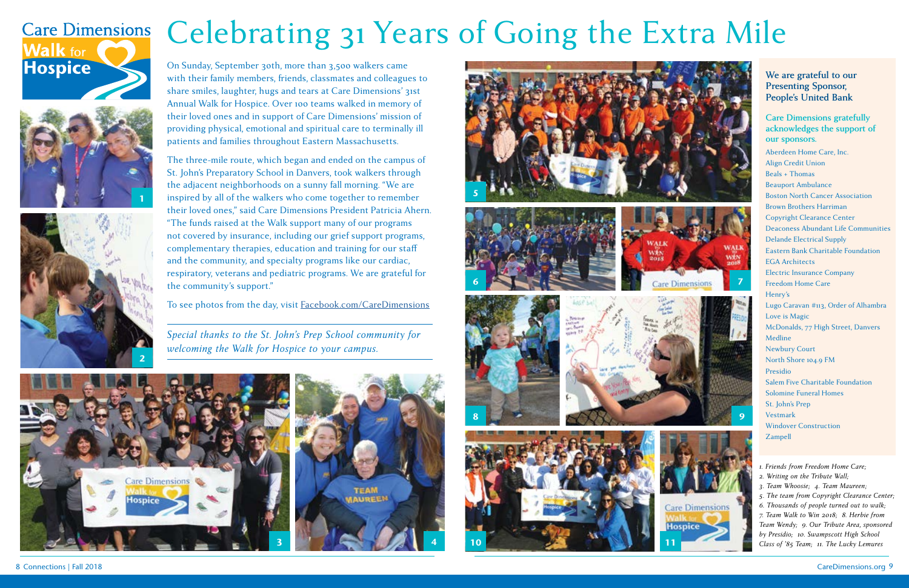# Celebrating 31 Years of Going the Extra Mile

**We are grateful to our Presenting Sponsor, People's United Bank**

**Care Dimensions gratefully acknowledges the support of our sponsors.**

Aberdeen Home Care, Inc. Align Credit Union Beals + Thomas Beauport Ambulance Boston North Cancer Association Brown Brothers Harriman Copyright Clearance Center Deaconess Abundant Life Communities Delande Electrical Supply Eastern Bank Charitable Foundation EGA Architects Electric Insurance Company Freedom Home Care Henry's Lugo Caravan #113, Order of Alhambra Love is Magic McDonalds, 77 High Street, Danvers Medline Newbury Court North Shore 104.9 FM Presidio Salem Five Charitable Foundation Solomine Funeral Homes St. John's Prep Vestmark Windover Construction Zampell

- *1. Friends from Freedom Home Care;*
- *2. Writing on the Tribute Wall;*
- *3. Team Whoosie; 4. Team Maureen;*
- *5. The team from Copyright Clearance Center;*

*6. Thousands of people turned out to walk; 7. Team Walk to Win 2018; 8. Herbie from Team Wendy; 9. Our Tribute Area, sponsored by Presidio; 10. Swampscott High School Class of '85 Team; 11. The Lucky Lemures*

On Sunday, September 30th, more than 3,500 walkers came with their family members, friends, classmates and colleagues to share smiles, laughter, hugs and tears at Care Dimensions' 31st Annual Walk for Hospice. Over 100 teams walked in memory of their loved ones and in support of Care Dimensions' mission of providing physical, emotional and spiritual care to terminally ill patients and families throughout Eastern Massachusetts.

The three-mile route, which began and ended on the campus of St. John's Preparatory School in Danvers, took walkers through the adjacent neighborhoods on a sunny fall morning. "We are inspired by all of the walkers who come together to remember their loved ones," said Care Dimensions President Patricia Ahern. "The funds raised at the Walk support many of our programs not covered by insurance, including our grief support programs, complementary therapies, education and training for our staff and the community, and specialty programs like our cardiac, respiratory, veterans and pediatric programs. We are grateful for the community's support."

To see photos from the day, visit [Facebook.com/CareDimensions](http://Facebook.com/CareDimensions)



# **Care Dimensions Walk for Hospice**











*Special thanks to the St. John's Prep School community for welcoming the Walk for Hospice to your campus.*

4







8 Connections | Fall 2018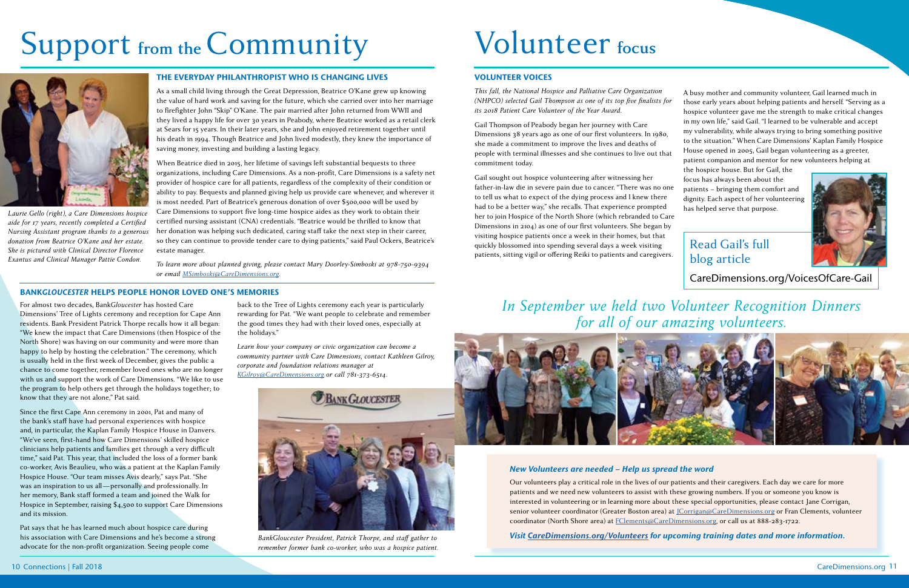Read Gail's full blog article Gail sought out hospice volunteering after witnessing her father-in-law die in severe pain due to cancer. "There was no one to tell us what to expect of the dying process and I knew there had to be a better way," she recalls. That experience prompted her to join Hospice of the North Shore (which rebranded to Care Dimensions in 2104) as one of our first volunteers. She began by visiting hospice patients once a week in their homes, but that quickly blossomed into spending several days a week visiting patients, sitting vigil or offering Reiki to patients and caregivers. focus has always been about the patients – bringing them comfort and dignity. Each aspect of her volunteering Laurie Gello (right), a Care Dimensions hospice Care Dimensions to support five long-time hospice aides as they work to obtain their helped to contage the North Shore (which rebranded to Care has helped serve that purpose.

[CareDimensions.org/VoicesOfCare-Gail](http://CareDimensions.org/VoicesOfCare-Gail)

### VOLUNTEER VOICES

*This fall, the National Hospice and Palliative Care Organization (NHPCO) selected Gail Thompson as one of its top five finalists for its 2018 Patient Care Volunteer of the Year Award.* 

Gail Thompson of Peabody began her journey with Care Dimensions 38 years ago as one of our first volunteers. In 1980, she made a commitment to improve the lives and deaths of people with terminal illnesses and she continues to live out that commitment today.

- A busy mother and community volunteer, Gail learned much in those early years about helping patients and herself. "Serving as a hospice volunteer gave me the strength to make critical changes in my own life," said Gail. "I learned to be vulnerable and accept my vulnerability, while always trying to bring something positive to the situation." When Care Dimensions' Kaplan Family Hospice House opened in 2005, Gail began volunteering as a greeter,
- patient companion and mentor for new volunteers helping at the hospice house. But for Gail, the



# Support from the Community Volunteer focus



*aide for 17 years, recently completed a Certified Nursing Assistant program thanks to a generous donation from Beatrice O'Kane and her estate. She is pictured with Clinical Director Florence Exantus and Clinical Manager Pattie Condon.*

### THE EVERYDAY PHILANTHROPIST WHO IS CHANGING LIVES

As a small child living through the Great Depression, Beatrice O'Kane grew up knowing the value of hard work and saving for the future, which she carried over into her marriage to firefighter John "Skip" O'Kane. The pair married after John returned from WWII and they lived a happy life for over 30 years in Peabody, where Beatrice worked as a retail clerk at Sears for 15 years. In their later years, she and John enjoyed retirement together until his death in 1994. Though Beatrice and John lived modestly, they knew the importance of saving money, investing and building a lasting legacy.

When Beatrice died in 2015, her lifetime of savings left substantial bequests to three organizations, including Care Dimensions. As a non-profit, Care Dimensions is a safety net provider of hospice care for all patients, regardless of the complexity of their condition or ability to pay. Bequests and planned giving help us provide care whenever, and wherever it is most needed. Part of Beatrice's generous donation of over \$500,000 will be used by certified nursing assistant (CNA) credentials. "Beatrice would be thrilled to know that her donation was helping such dedicated, caring staff take the next step in their career, so they can continue to provide tender care to dying patients," said Paul Ockers, Beatrice's estate manager.

*To learn more about planned giving, please contact Mary Doorley-Simboski at 978-750-9394 or email [MSimboski@CareDimensions.org.](mailto:MSimboski@CareDimensions.org)*

For almost two decades, Bank*Gloucester* has hosted Care Dimensions' Tree of Lights ceremony and reception for Cape Ann residents. Bank President Patrick Thorpe recalls how it all began: "We knew the impact that Care Dimensions (then Hospice of the North Shore) was having on our community and were more than happy to help by hosting the celebration." The ceremony, which is usually held in the first week of December, gives the public a chance to come together, remember loved ones who are no longer with us and support the work of Care Dimensions. "We like to use the program to help others get through the holidays together; to know that they are not alone," Pat said.

Since the first Cape Ann ceremony in 2001, Pat and many of the bank's staff have had personal experiences with hospice and, in particular, the Kaplan Family Hospice House in Danvers. "We've seen, first-hand how Care Dimensions' skilled hospice clinicians help patients and families get through a very difficult time," said Pat. This year, that included the loss of a former bank co-worker, Avis Beaulieu, who was a patient at the Kaplan Family Hospice House. "Our team misses Avis dearly," says Pat. "She was an inspiration to us all—personally and professionally. In her memory, Bank staff formed a team and joined the Walk for Hospice in September, raising \$4,500 to support Care Dimensions and its mission.

Pat says that he has learned much about hospice care during his association with Care Dimensions and he's become a strong advocate for the non-profit organization. Seeing people come

back to the Tree of Lights ceremony each year is particularly rewarding for Pat. "We want people to celebrate and remember the good times they had with their loved ones, especially at the holidays."

*Learn how your company or civic organization can become a community partner with Care Dimensions, contact Kathleen Gilroy, corporate and foundation relations manager at [KGilroy@CareDimensions.org](mailto:KGilroy@CareDimensions.org) or call 781-373-6514.*

## *In September we held two Volunteer Recognition Dinners for all of our amazing volunteers.*



### *New Volunteers are needed – Help us spread the word*

Our volunteers play a critical role in the lives of our patients and their caregivers. Each day we care for more patients and we need new volunteers to assist with these growing numbers. If you or someone you know is interested in volunteering or in learning more about these special opportunities, please contact Jane Corrigan, senior volunteer coordinator (Greater Boston area) at [JCorrigan@CareDimensions.org](mailto:JCorrigan@CareDimensions.org) or Fran Clements, volunteer coordinator (North Shore area) at [FClements@CareDimensions.org,](mailto:FClements@CareDimensions.org) or call us at 888-283-1722.

*BankGloucester President, Patrick Thorpe, and staff gather to Visit [CareDimensions.org/Volunteers](http://CareDimensions.org/Volunteers) for upcoming training dates and more information.*



*remember former bank co-worker, who was a hospice patient.*

### BANK*GLOUCESTER* HELPS PEOPLE HONOR LOVED ONE'S MEMORIES